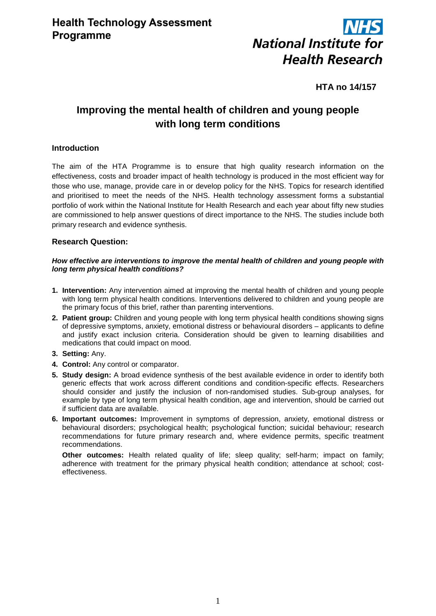

# **HTA no 14/157**

# **Improving the mental health of children and young people with long term conditions**

# **Introduction**

The aim of the HTA Programme is to ensure that high quality research information on the effectiveness, costs and broader impact of health technology is produced in the most efficient way for those who use, manage, provide care in or develop policy for the NHS. Topics for research identified and prioritised to meet the needs of the NHS. Health technology assessment forms a substantial portfolio of work within the National Institute for Health Research and each year about fifty new studies are commissioned to help answer questions of direct importance to the NHS. The studies include both primary research and evidence synthesis.

### **Research Question:**

#### *How effective are interventions to improve the mental health of children and young people with long term physical health conditions?*

- **1. Intervention:** Any intervention aimed at improving the mental health of children and young people with long term physical health conditions. Interventions delivered to children and young people are the primary focus of this brief, rather than parenting interventions.
- **2. Patient group:** Children and young people with long term physical health conditions showing signs of depressive symptoms, anxiety, emotional distress or behavioural disorders – applicants to define and justify exact inclusion criteria. Consideration should be given to learning disabilities and medications that could impact on mood.
- **3. Setting:** Any.
- **4. Control:** Any control or comparator.
- **5. Study design:** A broad evidence synthesis of the best available evidence in order to identify both generic effects that work across different conditions and condition-specific effects. Researchers should consider and justify the inclusion of non-randomised studies. Sub-group analyses, for example by type of long term physical health condition, age and intervention, should be carried out if sufficient data are available.
- **6. Important outcomes:** Improvement in symptoms of depression, anxiety, emotional distress or behavioural disorders; psychological health; psychological function; suicidal behaviour; research recommendations for future primary research and, where evidence permits, specific treatment recommendations.

**Other outcomes:** Health related quality of life; sleep quality; self-harm; impact on family; adherence with treatment for the primary physical health condition; attendance at school; costeffectiveness.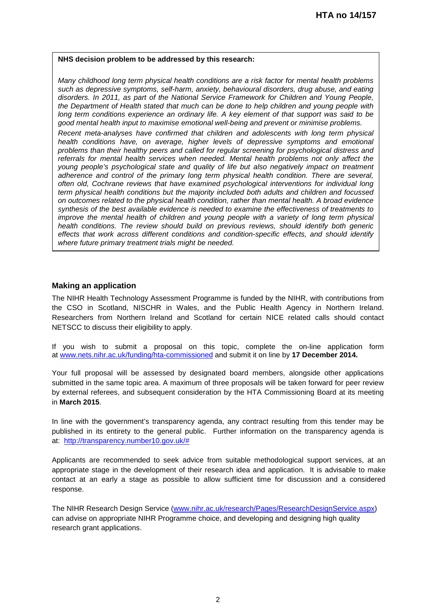#### **NHS decision problem to be addressed by this research:**

*Many childhood long term physical health conditions are a risk factor for mental health problems such as depressive symptoms, self-harm, anxiety, behavioural disorders, drug abuse, and eating disorders. In 2011, as part of the National Service Framework for Children and Young People, the Department of Health stated that much can be done to help children and young people with long term conditions experience an ordinary life. A key element of that support was said to be good mental health input to maximise emotional well-being and prevent or minimise problems.* 

*Recent meta-analyses have confirmed that children and adolescents with long term physical health conditions have, on average, higher levels of depressive symptoms and emotional problems than their healthy peers and called for regular screening for psychological distress and referrals for mental health services when needed. Mental health problems not only affect the young people's psychological state and quality of life but also negatively impact on treatment adherence and control of the primary long term physical health condition. There are several, often old, Cochrane reviews that have examined psychological interventions for individual long term physical health conditions but the majority included both adults and children and focussed on outcomes related to the physical health condition, rather than mental health. A broad evidence synthesis of the best available evidence is needed to examine the effectiveness of treatments to improve the mental health of children and young people with a variety of long term physical health conditions. The review should build on previous reviews, should identify both generic effects that work across different conditions and condition-specific effects, and should identify where future primary treatment trials might be needed.*

### **Making an application**

The NIHR Health Technology Assessment Programme is funded by the NIHR, with contributions from the CSO in Scotland, NISCHR in Wales, and the Public Health Agency in Northern Ireland. Researchers from Northern Ireland and Scotland for certain NICE related calls should contact NETSCC to discuss their eligibility to apply.

If you wish to submit a proposal on this topic, complete the on-line application form at [www.nets.nihr.ac.uk/funding/hta-commissioned](http://www.nets.nihr.ac.uk/funding/hta-commissioned) and submit it on line by **17 December 2014.**

Your full proposal will be assessed by designated board members, alongside other applications submitted in the same topic area. A maximum of three proposals will be taken forward for peer review by external referees, and subsequent consideration by the HTA Commissioning Board at its meeting in **March 2015**.

In line with the government's transparency agenda, any contract resulting from this tender may be published in its entirety to the general public. Further information on the transparency agenda is at: [http://transparency.number10.gov.uk/#](http://transparency.number10.gov.uk/)

Applicants are recommended to seek advice from suitable methodological support services, at an appropriate stage in the development of their research idea and application. It is advisable to make contact at an early a stage as possible to allow sufficient time for discussion and a considered response.

The NIHR Research Design Service [\(www.nihr.ac.uk/research/Pages/ResearchDesignService.aspx\)](http://www.nihr.ac.uk/research/Pages/ResearchDesignService.aspx) can advise on appropriate NIHR Programme choice, and developing and designing high quality research grant applications.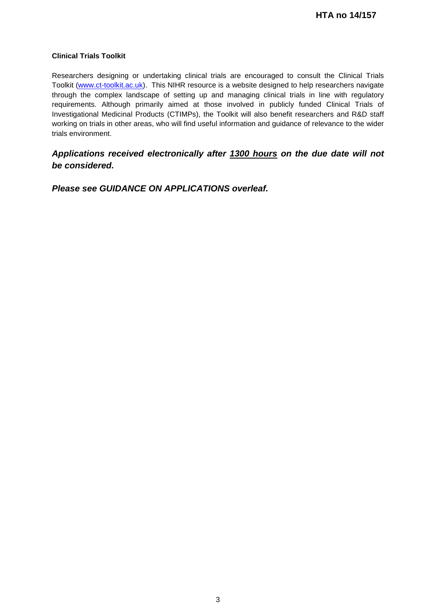### **Clinical Trials Toolkit**

Researchers designing or undertaking clinical trials are encouraged to consult the Clinical Trials Toolkit [\(www.ct-toolkit.ac.uk\)](http://www.ct-toolkit.ac.uk/home). This NIHR resource is a website designed to help researchers navigate through the complex landscape of setting up and managing clinical trials in line with regulatory requirements. Although primarily aimed at those involved in publicly funded Clinical Trials of Investigational Medicinal Products (CTIMPs), the Toolkit will also benefit researchers and R&D staff working on trials in other areas, who will find useful information and guidance of relevance to the wider trials environment.

# *Applications received electronically after 1300 hours on the due date will not be considered.*

*Please see GUIDANCE ON APPLICATIONS overleaf.*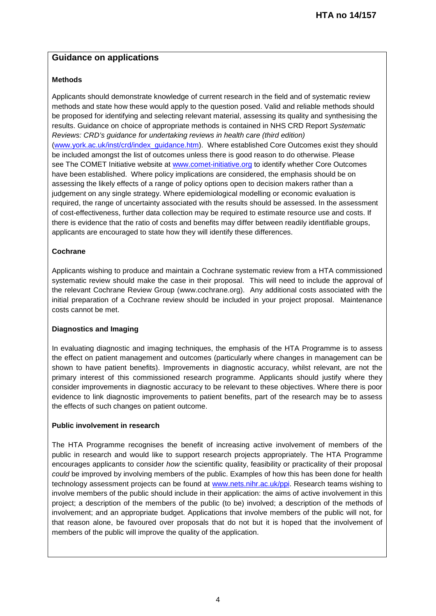# **Guidance on applications**

## **Methods**

Applicants should demonstrate knowledge of current research in the field and of systematic review methods and state how these would apply to the question posed. Valid and reliable methods should be proposed for identifying and selecting relevant material, assessing its quality and synthesising the results. Guidance on choice of appropriate methods is contained in NHS CRD Report *Systematic Reviews: CRD's guidance for undertaking reviews in health care (third edition)* [\(www.york.ac.uk/inst/crd/index\\_guidance.htm\)](http://www.york.ac.uk/inst/crd/index_guidance.htm). Where established Core Outcomes exist they should be included amongst the list of outcomes unless there is good reason to do otherwise. Please see The COMET Initiative website at [www.comet-initiative.org](http://www.comet-initiative.org/) to identify whether Core Outcomes have been established. Where policy implications are considered, the emphasis should be on assessing the likely effects of a range of policy options open to decision makers rather than a judgement on any single strategy. Where epidemiological modelling or economic evaluation is required, the range of uncertainty associated with the results should be assessed. In the assessment of cost-effectiveness, further data collection may be required to estimate resource use and costs. If there is evidence that the ratio of costs and benefits may differ between readily identifiable groups, applicants are encouraged to state how they will identify these differences.

### **Cochrane**

Applicants wishing to produce and maintain a Cochrane systematic review from a HTA commissioned systematic review should make the case in their proposal. This will need to include the approval of the relevant Cochrane Review Group (www.cochrane.org). Any additional costs associated with the initial preparation of a Cochrane review should be included in your project proposal. Maintenance costs cannot be met.

### **Diagnostics and Imaging**

In evaluating diagnostic and imaging techniques, the emphasis of the HTA Programme is to assess the effect on patient management and outcomes (particularly where changes in management can be shown to have patient benefits). Improvements in diagnostic accuracy, whilst relevant, are not the primary interest of this commissioned research programme. Applicants should justify where they consider improvements in diagnostic accuracy to be relevant to these objectives. Where there is poor evidence to link diagnostic improvements to patient benefits, part of the research may be to assess the effects of such changes on patient outcome.

### **Public involvement in research**

The HTA Programme recognises the benefit of increasing active involvement of members of the public in research and would like to support research projects appropriately. The HTA Programme encourages applicants to consider *how* the scientific quality, feasibility or practicality of their proposal *could* be improved by involving members of the public. Examples of how this has been done for health technology assessment projects can be found at [www.nets.nihr.ac.uk/ppi.](http://www.nets.nihr.ac.uk/ppi) Research teams wishing to involve members of the public should include in their application: the aims of active involvement in this project; a description of the members of the public (to be) involved; a description of the methods of involvement; and an appropriate budget. Applications that involve members of the public will not, for that reason alone, be favoured over proposals that do not but it is hoped that the involvement of members of the public will improve the quality of the application.